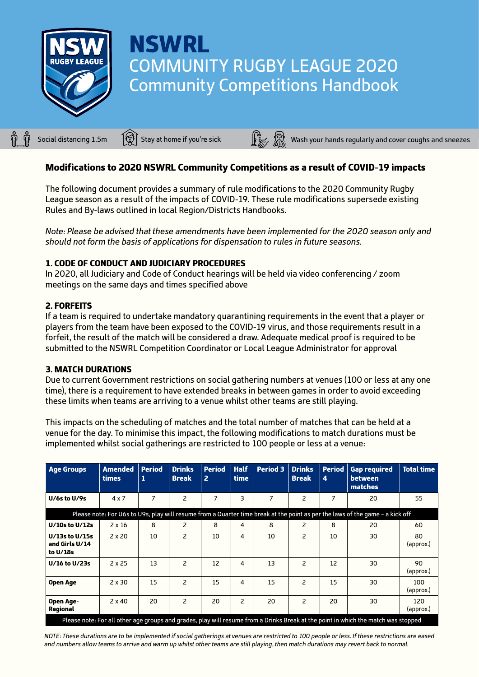

# **NSWRL** COMMUNITY RUGBY LEAGUE 2020 Community Competitions Handbook

Social distancing 1.5m  $\widehat{S}$  Stay at home if you're sick  $\widehat{S}$   $\widehat{S}$  Wash your hands regularly and cover coughs and sneezes

# Modifications to 2020 NSWRL Community Competitions as a result of COVID-19 impacts

The following document provides a summary of rule modifications to the 2020 Community Rugby League season as a result of the impacts of COVID-19. These rule modifications supersede existing Rules and By-laws outlined in local Region/Districts Handbooks.

*Note: Please be advised that these amendments have been implemented for the 2020 season only and should not form the basis of applications for dispensation to rules in future seasons.*

### 1. CODE OF CONDUCT AND JUDICIARY PROCEDURES

In 2020, all Judiciary and Code of Conduct hearings will be held via video conferencing / zoom meetings on the same days and times specified above

### 2. FORFEITS

If a team is required to undertake mandatory quarantining requirements in the event that a player or players from the team have been exposed to the COVID-19 virus, and those requirements result in a forfeit, the result of the match will be considered a draw. Adequate medical proof is required to be submitted to the NSWRL Competition Coordinator or Local League Administrator for approval

#### 3. MATCH DURATIONS

Due to current Government restrictions on social gathering numbers at venues (100 or less at any one time), there is a requirement to have extended breaks in between games in order to avoid exceeding these limits when teams are arriving to a venue whilst other teams are still playing.

This impacts on the scheduling of matches and the total number of matches that can be held at a venue for the day. To minimise this impact, the following modifications to match durations must be implemented whilst social gatherings are restricted to 100 people or less at a venue:

| <b>Age Groups</b>                                                                                                                  | Amended<br><b>times</b> | <b>Period</b><br>1 | <b>Drinks</b><br><b>Break</b> | <b>Period</b><br>$\overline{2}$ | <b>Half</b><br>time | <b>Period 3</b> | <b>Drinks</b><br><b>Break</b> | <b>Period</b><br>4 | <b>Gap required</b><br><b>between</b><br>matches                                                                              | <b>Total time</b> |
|------------------------------------------------------------------------------------------------------------------------------------|-------------------------|--------------------|-------------------------------|---------------------------------|---------------------|-----------------|-------------------------------|--------------------|-------------------------------------------------------------------------------------------------------------------------------|-------------------|
| $U/6s$ to $U/9s$                                                                                                                   | 4x7                     | $\overline{7}$     | $\overline{c}$                | 7                               | 3                   | $\overline{7}$  | $\overline{c}$                | $\overline{7}$     | 20                                                                                                                            | 55                |
|                                                                                                                                    |                         |                    |                               |                                 |                     |                 |                               |                    | Please note: For U6s to U9s, play will resume from a Quarter time break at the point as per the laws of the game - a kick off |                   |
| $U/10s$ to $U/12s$                                                                                                                 | $2 \times 16$           | 8                  | 2                             | 8                               | 4                   | 8               | $\overline{2}$                | 8                  | 20                                                                                                                            | 60                |
| U/13s to U/15s<br>and Girls U/14<br>to U/18s                                                                                       | $2 \times 20$           | 10                 | 2                             | 10                              | 4                   | 10              | 2                             | 10                 | 30                                                                                                                            | 80<br>(approx.)   |
| U/16 to U/23s                                                                                                                      | 2x25                    | 13                 | $\overline{\phantom{0}}$      | 12                              | 4                   | 13              | $\overline{\phantom{0}}$      | 12                 | 30                                                                                                                            | 90<br>(approx.)   |
| Open Age                                                                                                                           | $2 \times 30$           | 15                 | 2                             | 15                              | 4                   | 15              | 2                             | 15                 | 30                                                                                                                            | 100<br>(approx.)  |
| Open Age-<br><b>Regional</b>                                                                                                       | $2 \times 40$           | 20                 | 2                             | 20                              | 2                   | 20              | 2                             | 20                 | 30                                                                                                                            | 120<br>(approx.)  |
| Please note: For all other age groups and grades, play will resume from a Drinks Break at the point in which the match was stopped |                         |                    |                               |                                 |                     |                 |                               |                    |                                                                                                                               |                   |

*NOTE: These durations are to be implemented if social gatherings at venues are restricted to 100 people or less. If these restrictions are eased and numbers allow teams to arrive and warm up whilst other teams are still playing, then match durations may revert back to normal.*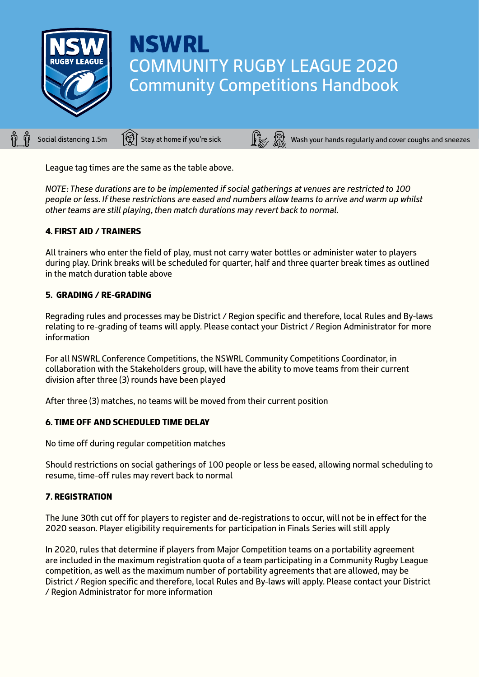

# **NSWRL** COMMUNITY RUGBY LEAGUE 2020 Community Competitions Handbook

Social distancing 1.5m  $\bigcirc$  Stay at home if you're sick  $\bigcirc$   $\bigcirc$  Wash your hands regularly and cover coughs and sneezes

League tag times are the same as the table above.

*NOTE: These durations are to be implemented if social gatherings at venues are restricted to 100 people or less. If these restrictions are eased and numbers allow teams to arrive and warm up whilst other teams are still playing, then match durations may revert back to normal.* 

### 4. FIRST AID / TRAINERS

All trainers who enter the field of play, must not carry water bottles or administer water to players during play. Drink breaks will be scheduled for quarter, half and three quarter break times as outlined in the match duration table above

### 5. GRADING / RE-GRADING

Regrading rules and processes may be District / Region specific and therefore, local Rules and By-laws relating to re-grading of teams will apply. Please contact your District / Region Administrator for more information

For all NSWRL Conference Competitions, the NSWRL Community Competitions Coordinator, in collaboration with the Stakeholders group, will have the ability to move teams from their current division after three (3) rounds have been played

After three (3) matches, no teams will be moved from their current position

# 6. TIME OFF AND SCHEDULED TIME DELAY

No time off during regular competition matches

Should restrictions on social gatherings of 100 people or less be eased, allowing normal scheduling to resume, time-off rules may revert back to normal

# 7. REGISTRATION

The June 30th cut off for players to register and de-registrations to occur, will not be in effect for the 2020 season. Player eligibility requirements for participation in Finals Series will still apply

In 2020, rules that determine if players from Major Competition teams on a portability agreement are included in the maximum registration quota of a team participating in a Community Rugby League competition, as well as the maximum number of portability agreements that are allowed, may be District / Region specific and therefore, local Rules and By-laws will apply. Please contact your District / Region Administrator for more information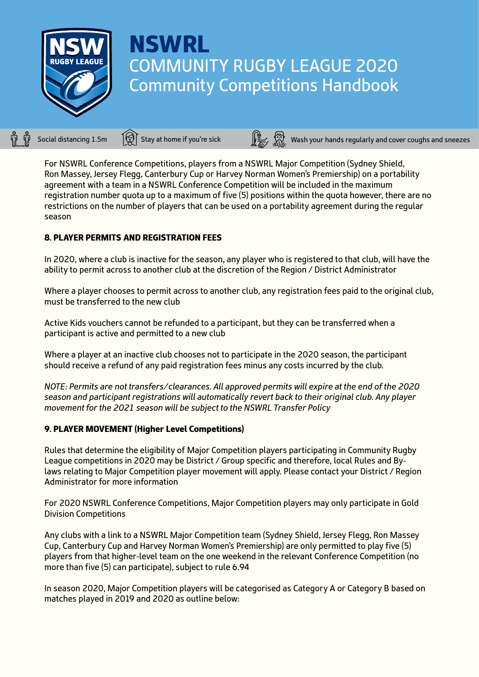

# NSWRL COMMUNITY RUGBY LEAGUE 2020 Community Competitions Handbook

Social distancing 1.5m  $\widehat{S}$  Stay at home if you're sick Wash your hands regularly and cover coughs and sneezes

For NSWRL Conference Competitions, players from a NSWRL Major Competition (Sydney Shield, Ron Massey, Jersey Flegg, Canterbury Cup or Harvey Norman Women's Premiership) on a portability agreement with a team in a NSWRL Conference Competition will be included in the maximum registration number quota up to a maximum of five (5) positions within the quota however, there are no restrictions on the number of players that can be used on a portability agreement during the regular season

# 8. PLAYER PERMITS AND REGISTRATION FEES

In 2020, where a club is inactive for the season, any player who is registered to that club, will have the ability to permit across to another club at the discretion of the Region / District Administrator

Where a player chooses to permit across to another club, any registration fees paid to the original club, must be transferred to the new club

Active Kids vouchers cannot be refunded to a participant, but they can be transferred when a participant is active and permitted to a new club

Where a player at an inactive club chooses not to participate in the 2020 season, the participant should receive a refund of any paid registration fees minus any costs incurred by the club.

*NOTE: Permits are not transfers/clearances. All approved permits will expire at the end of the 2020 season and participant registrations will automatically revert back to their original club. Any player movement for the 2021 season will be subject to the NSWRL Transfer Policy*

#### 9. PLAYER MOVEMENT (Higher Level Competitions)

Rules that determine the eligibility of Major Competition players participating in Community Rugby League competitions in 2020 may be District / Group specific and therefore, local Rules and Bylaws relating to Major Competition player movement will apply. Please contact your District / Region Administrator for more information

For 2020 NSWRL Conference Competitions, Major Competition players may only participate in Gold Division Competitions

Any clubs with a link to a NSWRL Major Competition team (Sydney Shield, Jersey Flegg, Ron Massey Cup, Canterbury Cup and Harvey Norman Women's Premiership) are only permitted to play five (5) players from that higher-level team on the one weekend in the relevant Conference Competition (no more than five (5) can participate), subject to rule 6.94

In season 2020, Major Competition players will be categorised as Category A or Category B based on matches played in 2019 and 2020 as outline below: